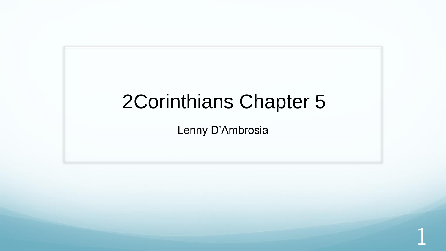# 2Corinthians Chapter 5

Lenny D'Ambrosia

1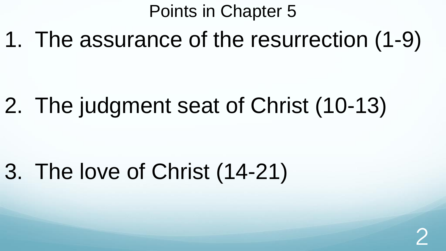### Points in Chapter 5

1. The assurance of the resurrection (1-9)

2. The judgment seat of Christ (10-13)

# 3. The love of Christ (14-21)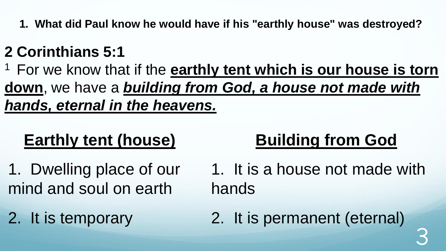**1. What did Paul know he would have if his "earthly house" was destroyed?** 

### **2 Corinthians 5:1**

<sup>1</sup> For we know that if the **earthly tent which is our house is torn down**, we have a *building from God, a house not made with hands, eternal in the heavens.* 

### **Earthly tent (house)**

### 1. Dwelling place of our mind and soul on earth

2. It is temporary

## **Building from God**

3

- 1. It is a house not made with hands
- 2. It is permanent (eternal)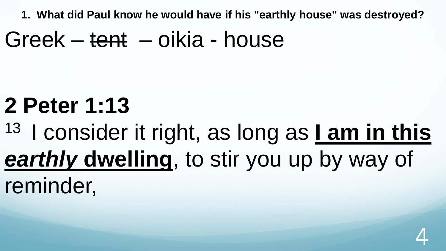**1. What did Paul know he would have if his "earthly house" was destroyed?** 

Greek – tent – oikia - house

# **2 Peter 1:13**

<sup>13</sup> I consider it right, as long as **Lam in this** *earthly* **dwelling**, to stir you up by way of reminder,

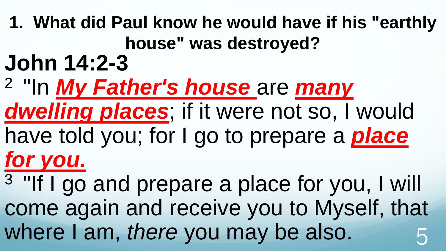- **1. What did Paul know he would have if his "earthly house" was destroyed?**
- **John 14:2-3**
- <sup>2</sup>"In *My Father's house* are *many*
- *dwelling places*; if it were not so, I would
- have told you; for I go to prepare a *place for you.*
- <sup>3</sup>"If I go and prepare a place for you, I will come again and receive you to Myself, that where I am, *there* you may be also.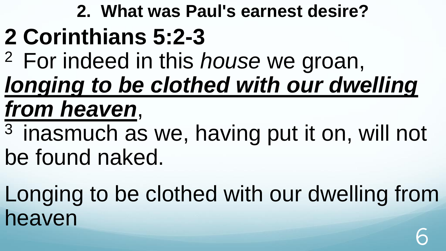## **2. What was Paul's earnest desire?**

# **2 Corinthians 5:2-3**

- <sup>2</sup>For indeed in this *house* we groan,
- *longing to be clothed with our dwelling*

# *from heaven*,

- <sup>3</sup> inasmuch as we, having put it on, will not be found naked.
- Longing to be clothed with our dwelling from heaven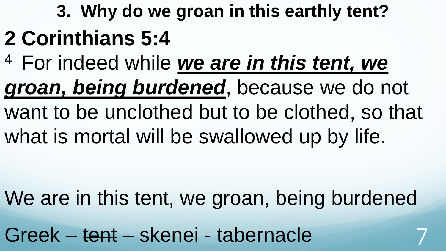# **3. Why do we groan in this earthly tent? 2 Corinthians 5:4**

<sup>4</sup> For indeed while we are in this tent, we

*groan, being burdened*, because we do not want to be unclothed but to be clothed, so that what is mortal will be swallowed up by life.

We are in this tent, we groan, being burdened

Greek – tent – skenei - tabernacle 7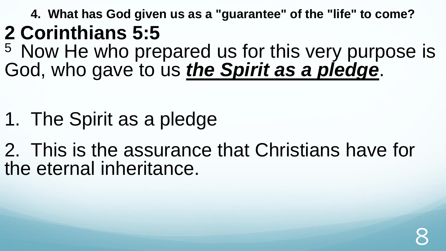### **4. What has God given us as a "guarantee" of the "life" to come? 2 Corinthians 5:5**

<sup>5</sup> Now He who prepared us for this very purpose is God, who gave to us *the Spirit as a pledge*.

1. The Spirit as a pledge

2. This is the assurance that Christians have for the eternal inheritance.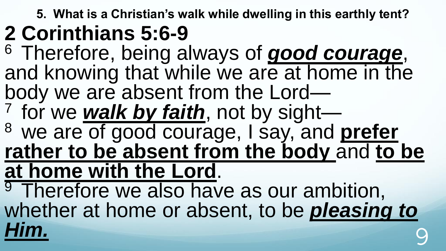**5. What is a Christian's walk while dwelling in this earthly tent? 2 Corinthians 5:6-9**  <sup>6</sup>Therefore, being always of *good courage*, and knowing that while we are at home in the body we are absent from the Lord body we are absent from the Lord—<br><sup>7</sup> for we *walk by faith*, not by sight—<br><sup>8</sup> we are of good courage, I say, and prefer **rather to be absent from the body** and **to be at home with the Lord**. <sup>9</sup> Therefore we also have as our ambition, whether at home or absent, to be *pleasing to Him.* 9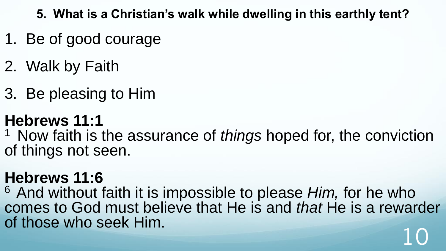- **5. What is a Christian's walk while dwelling in this earthly tent?**
- 1. Be of good courage
- 2. Walk by Faith
- 3. Be pleasing to Him

### **Hebrews 11:1**

<sup>1</sup> Now faith is the assurance of *things* hoped for, the conviction of things not seen.

### **Hebrews 11:6**

<sup>6</sup> And without faith it is impossible to please *Him*, for he who comes to God must believe that He is and *that* He is a rewarder of those who seek Him. 10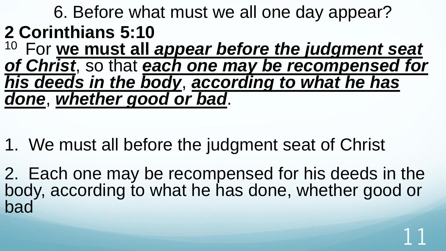6. Before what must we all one day appear? **2 Corinthians 5:10**  <sup>10</sup> For we must all appear before the judgment seat *of Christ*, so that *each one may be recompensed for his deeds in the body*, *according to what he has done*, *whether good or bad*.

1. We must all before the judgment seat of Christ

2. Each one may be recompensed for his deeds in the body, according to what he has done, whether good or bad

11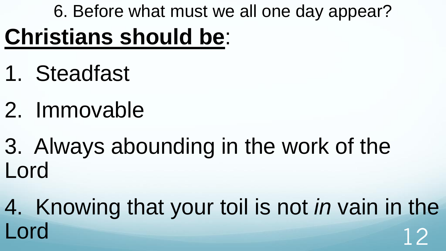6. Before what must we all one day appear? **Christians should be**:

- 1. Steadfast
- 2. Immovable
- 3. Always abounding in the work of the Lord
- 4. Knowing that your toil is not *in* vain in the Lord 12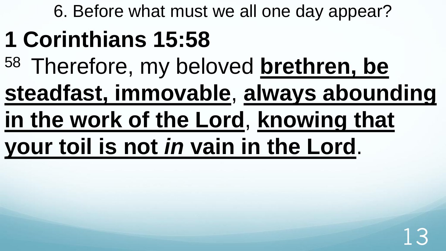6. Before what must we all one day appear?

# **1 Corinthians 15:58**

58 Therefore, my beloved **brethren, be** 

**steadfast, immovable**, **always abounding** 

**in the work of the Lord**, **knowing that your toil is not** *in* **vain in the Lord**.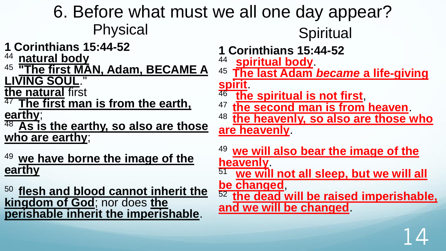#### 6. Before what must we all one day appear? Physical **Spiritual**

- **1 Corinthians 15:44-52**
- <sup>44</sup>**natural body**
- <sup>45</sup>**"The first MAN, Adam, BECAME A LIVING SOUL**."
- **the natural** first
- <sup>47</sup>**The first man is from the earth, earthy**;
- <sup>48</sup>**As is the earthy, so also are those who are earthy**;
- <sup>49</sup>**we have borne the image of the earthy**
- <sup>50</sup>**flesh and blood cannot inherit the kingdom of God**; nor does **the perishable inherit the imperishable**.
- **1 Corinthians 15:44-52**
- <sup>44</sup>**spiritual body**.
- <sup>45</sup>**The last Adam** *became* **a life-giving spirit**.
- <sup>46</sup>**the spiritual is not first**,
- <sup>47</sup>**the second man is from heaven**.
- <sup>48</sup>**the heavenly, so also are those who are heavenly**.
- <sup>49</sup>**we will also bear the image of the heavenly**.
- <sup>51</sup>**we will not all sleep, but we will all be changed**,
- <sup>52</sup>**the dead will be raised imperishable, and we will be changed**.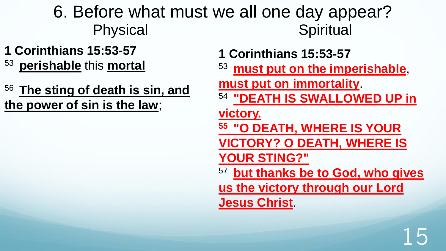6. Before what must we all one day appear? Physical **Spiritual** 

- **1 Corinthians 15:53-57**
- <sup>53</sup>**perishable** this **mortal**
- <sup>56</sup>**The sting of death is sin, and the power of sin is the law**;
- **1 Corinthians 15:53-57**
- <sup>53</sup>**must put on the imperishable**,
- **must put on immortality**.
- <sup>54</sup>**"DEATH IS SWALLOWED UP in victory. <sup>55</sup>"O DEATH, WHERE IS YOUR**
- **VICTORY? O DEATH, WHERE IS**
- **YOUR STING?"**
- <sup>57</sup>**but thanks be to God, who gives us the victory through our Lord Jesus Christ**.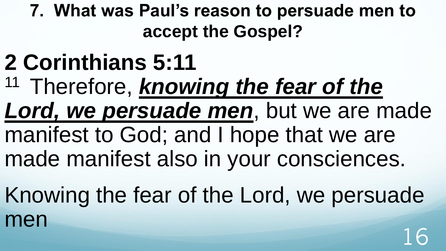**7. What was Paul's reason to persuade men to accept the Gospel?**

- **2 Corinthians 5:11**
- <sup>11</sup> Therefore, *knowing the fear of the Lord, we persuade men*, but we are made manifest to God; and I hope that we are made manifest also in your consciences.
- Knowing the fear of the Lord, we persuade men 16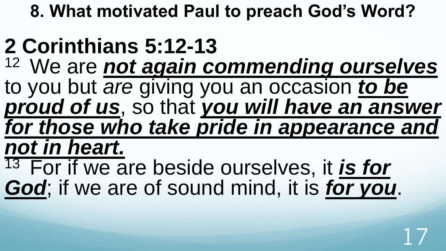**8. What motivated Paul to preach God's Word?** 

## **2 Corinthians 5:12-13**  <sup>12</sup> We are *not again commending ourselves* to you but *are* giving you an occasion *to be proud of us*, so that *you will have an answer for those who take pride in appearance and not in heart.*  <sup>13</sup> For if we are beside ourselves, it *is for*

17

*God*; if we are of sound mind, it is *for you*.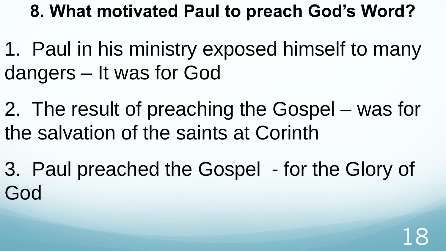**8. What motivated Paul to preach God's Word?** 

- 1. Paul in his ministry exposed himself to many dangers – It was for God
- 2. The result of preaching the Gospel was for the salvation of the saints at Corinth
- 3. Paul preached the Gospel for the Glory of God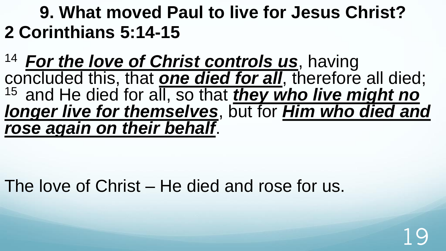## **9. What moved Paul to live for Jesus Christ? 2 Corinthians 5:14-15**

<sup>14</sup> For the love of Christ controls us, having concluded this, that *one died for all*, therefore all died; <sup>15</sup>and He died for all, so that *they who live might no longer live for themselves*, but for *Him who died and rose again on their behalf*.

The love of Christ – He died and rose for us.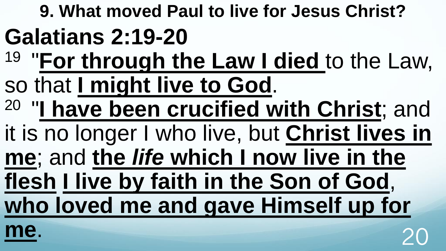**9. What moved Paul to live for Jesus Christ? Galatians 2:19-20**  19 "**For through the Law I died** to the Law, so that **I might live to God**. 20 "**I have been crucified with Christ**; and it is no longer I who live, but **Christ lives in me**; and **the** *life* **which I now live in the flesh I live by faith in the Son of God**, **who loved me and gave Himself up for me**. 20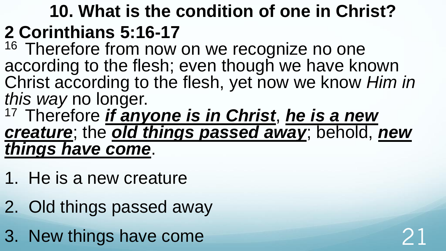# **10. What is the condition of one in Christ? 2 Corinthians 5:16-17**

<sup>16</sup> Therefore from now on we recognize no one according to the flesh; even though we have known Christ according to the flesh, yet now we know *Him in this way* no longer.

<sup>17</sup> Therefore *if anyone is in Christ*, *he is a new creature*; the *old things passed away*; behold, *new things have come*.

- 1. He is a new creature
- 2. Old things passed away
- 3. New things have come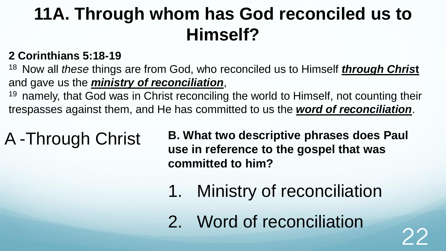## **11A. Through whom has God reconciled us to Himself?**

#### **2 Corinthians 5:18-19**

<sup>18</sup> Now all *these* things are from God, who reconciled us to Himself *through Christ* and gave us the *ministry of reconciliation*,

<sup>19</sup> namely, that God was in Christ reconciling the world to Himself, not counting their trespasses against them, and He has committed to us the *word of reconciliation*.

- A -Through Christ
- **B. What two descriptive phrases does Paul use in reference to the gospel that was committed to him?**
- 1. Ministry of reconciliation
- 2. Word of reconciliation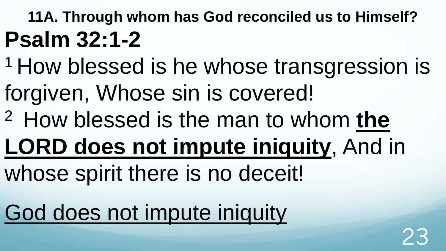**11A. Through whom has God reconciled us to Himself? Psalm 32:1-2**

- <sup>1</sup> How blessed is he whose transgression is
- forgiven, Whose sin is covered!
- <sup>2</sup>How blessed is the man to whom **the**
- **LORD does not impute iniquity**, And in

whose spirit there is no deceit!

God does not impute iniquity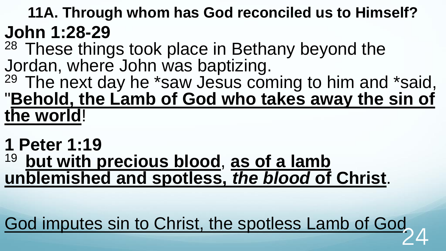### **11A. Through whom has God reconciled us to Himself? John 1:28-29**

<sup>28</sup> These things took place in Bethany beyond the Jordan, where John was baptizing.

<sup>29</sup> The next day he \*saw Jesus coming to him and \*said, "**Behold, the Lamb of God who takes away the sin of the world**!

# **1 Peter 1:19**

**but with precious blood, as of a lamb unblemished and spotless,** *the blood* **of Christ**.

God imputes sin to Christ, the spotless Lamb of God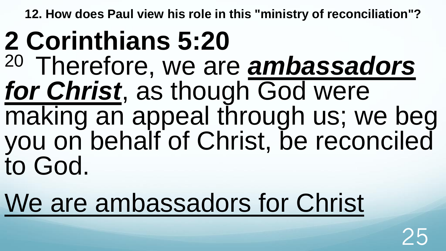**12. How does Paul view his role in this "ministry of reconciliation"?**

# **2 Corinthians 5:20**  <sup>20</sup>Therefore, we are *ambassadors for Christ*, as though God were making an appeal through us; we beg you on behalf of Christ, be reconciled to God.

We are ambassadors for Christ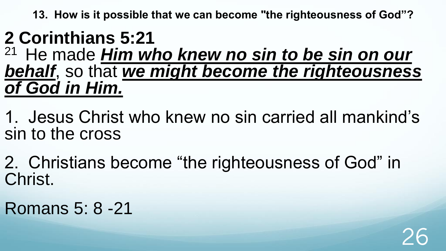**13. How is it possible that we can become "the righteousness of God"?**

# **2 Corinthians 5:21**

<sup>21</sup> He made *Him who knew no sin to be sin on our behalf*, so that *we might become the righteousness of God in Him.* 

1. Jesus Christ who knew no sin carried all mankind's sin to the cross

2. Christians become "the righteousness of God" in Christ.

Romans 5: 8 -21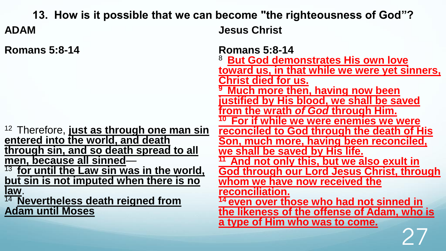**13. How is it possible that we can become "the righteousness of God"? ADAM Jesus Christ**

**Romans 5:8-14**

12 Therefore, just as through one man sin **entered into the world, and death through sin, and so death spread to all** 

for until the Law sin was in the world, **but sin is not imputed when there is no law**.

<sup>14</sup>**Nevertheless death reigned from Adam until Moses**

**Romans 5:8-14** <sup>8</sup>**But God demonstrates His own love toward us, in that while we were yet sinners, Christ died for us. <sup>9</sup>Much more then, having now been justified by His blood, we shall be saved from the wrath** *of God* **through Him. <sup>10</sup>For if while we were enemies we were reconciled to God through the death of His Son, much more, having been reconciled, we shall be saved by His life. <sup>11</sup>And not only this, but we also exult in God through our Lord Jesus Christ, through whom we have now received the reconciliation. <sup>14</sup>even over those who had not sinned in the likeness of the offense of Adam, who is a type of Him who was to come.** 

27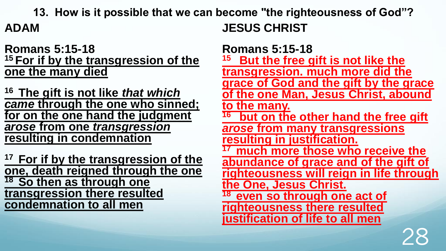**13. How is it possible that we can become "the righteousness of God"? ADAM JESUS CHRIST**

**Romans 5:15-18 <sup>15</sup>For if by the transgression of the one the many died**

**<sup>16</sup>The gift is not like** *that which came* **through the one who sinned; for on the one hand the judgment**  *arose* **from one** *transgression* **resulting in condemnation**

**<sup>17</sup>For if by the transgression of the one, death reigned through the one <sup>18</sup>So then as through one transgression there resulted condemnation to all men**

**Romans 5:15-18 <sup>15</sup>But the free gift is not like the transgression. much more did the grace of God and the gift by the grace of the one Man, Jesus Christ, abound to the many. <sup>16</sup>but on the other hand the free gift**  *arose* **from many transgressions resulting in justification. <sup>17</sup>much more those who receive the abundance of grace and of the gift of righteousness will reign in life through the One, Jesus Christ. <sup>18</sup>even so through one act of righteousness there resulted justification of life to all men** 28